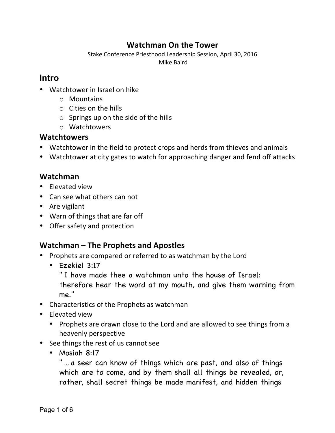## **Watchman On the Tower**

Stake Conference Priesthood Leadership Session, April 30, 2016 Mike Baird

#### **Intro**

- Watchtower in Israel on hike
	- o Mountains
	- $\circ$  Cities on the hills
	- $\circ$  Springs up on the side of the hills
	- o Watchtowers

#### **Watchtowers**

- Watchtower in the field to protect crops and herds from thieves and animals
- Watchtower at city gates to watch for approaching danger and fend off attacks

#### **Watchman**

- Elevated view
- Can see what others can not
- Are vigilant
- Warn of things that are far off
- Offer safety and protection

#### **Watchman – The Prophets and Apostles**

- Prophets are compared or referred to as watchman by the Lord
	- Ezekiel 3:17
		- " I have made thee a watchman unto the house of Israel:

therefore hear the word at my mouth, and give them warning from me."

- Characteristics of the Prophets as watchman
- Elevated view
	- Prophets are drawn close to the Lord and are allowed to see things from a heavenly perspective
- See things the rest of us cannot see
	- Mosiah 8:17

"... a seer can know of things which are past, and also of things which are to come, and by them shall all things be revealed, or, rather, shall secret things be made manifest, and hidden things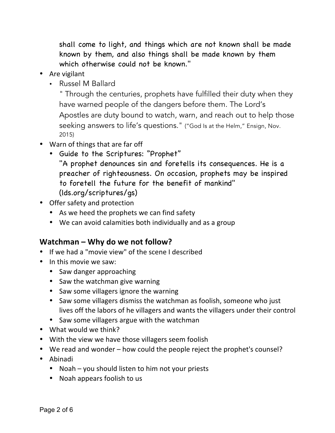shall come to light, and things which are not known shall be made known by them, and also things shall be made known by them which otherwise could not be known."

- Are vigilant
	- Russel M Ballard

" Through the centuries, prophets have fulfilled their duty when they have warned people of the dangers before them. The Lord's Apostles are duty bound to watch, warn, and reach out to help those seeking answers to life's questions." ("God Is at the Helm," Ensign, Nov. 2015)

- Warn of things that are far off
	- Guide to the Scriptures: "Prophet"
		- "A prophet denounces sin and foretells its consequences. He is a preacher of righteousness. On occasion, prophets may be inspired to foretell the future for the benefit of mankind" (lds.org/scriptures/gs)
- Offer safety and protection
	- As we heed the prophets we can find safety
	- We can avoid calamities both individually and as a group

## **Watchman – Why do we not follow?**

- If we had a "movie view" of the scene I described
- In this movie we saw:
	- Saw danger approaching
	- Saw the watchman give warning
	- Saw some villagers ignore the warning
	- Saw some villagers dismiss the watchman as foolish, someone who just lives off the labors of he villagers and wants the villagers under their control
	- Saw some villagers argue with the watchman
- What would we think?
- With the view we have those villagers seem foolish
- We read and wonder how could the people reject the prophet's counsel?
- Abinadi
	- Noah you should listen to him not your priests
	- Noah appears foolish to us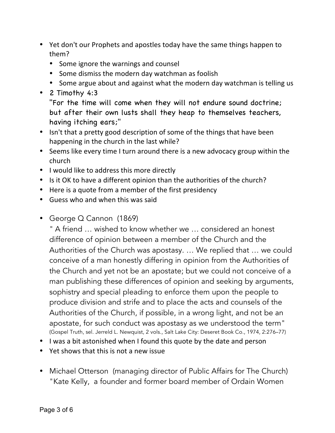- Yet don't our Prophets and apostles today have the same things happen to them?
	- Some ignore the warnings and counsel
	- Some dismiss the modern day watchman as foolish
	- Some argue about and against what the modern day watchman is telling us
- 2 Timothy 4:3

"For the time will come when they will not endure sound doctrine; but after their own lusts shall they heap to themselves teachers, having itching ears;"

- Isn't that a pretty good description of some of the things that have been happening in the church in the last while?
- Seems like every time I turn around there is a new advocacy group within the church
- I would like to address this more directly
- Is it OK to have a different opinion than the authorities of the church?
- Here is a quote from a member of the first presidency
- Guess who and when this was said
- George Q Cannon (1869)

" A friend … wished to know whether we … considered an honest difference of opinion between a member of the Church and the Authorities of the Church was apostasy. … We replied that … we could conceive of a man honestly differing in opinion from the Authorities of the Church and yet not be an apostate; but we could not conceive of a man publishing these differences of opinion and seeking by arguments, sophistry and special pleading to enforce them upon the people to produce division and strife and to place the acts and counsels of the Authorities of the Church, if possible, in a wrong light, and not be an apostate, for such conduct was apostasy as we understood the term" (Gospel Truth, sel. Jerreld L. Newquist, 2 vols., Salt Lake City: Deseret Book Co., 1974, 2:276–77)

- I was a bit astonished when I found this quote by the date and person
- Yet shows that this is not a new issue
- Michael Otterson (managing director of Public Affairs for The Church) "Kate Kelly, a founder and former board member of Ordain Women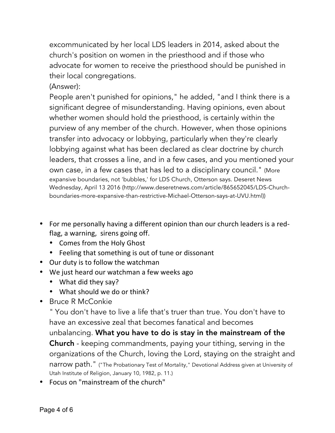excommunicated by her local LDS leaders in 2014, asked about the church's position on women in the priesthood and if those who advocate for women to receive the priesthood should be punished in their local congregations.

(Answer):

People aren't punished for opinions," he added, "and I think there is a significant degree of misunderstanding. Having opinions, even about whether women should hold the priesthood, is certainly within the purview of any member of the church. However, when those opinions transfer into advocacy or lobbying, particularly when they're clearly lobbying against what has been declared as clear doctrine by church leaders, that crosses a line, and in a few cases, and you mentioned your own case, in a few cases that has led to a disciplinary council." (More expansive boundaries, not 'bubbles,' for LDS Church, Otterson says. Deseret News Wednesday, April 13 2016 (http://www.deseretnews.com/article/865652045/LDS-Churchboundaries-more-expansive-than-restrictive-Michael-Otterson-says-at-UVU.html))

- For me personally having a different opinion than our church leaders is a redflag, a warning, sirens going off.
	- Comes from the Holy Ghost
	- Feeling that something is out of tune or dissonant
- Our duty is to follow the watchman
- We just heard our watchman a few weeks ago
	- What did they say?
	- What should we do or think?
- Bruce R McConkie

" You don't have to live a life that's truer than true. You don't have to have an excessive zeal that becomes fanatical and becomes unbalancing. What you have to do is stay in the mainstream of the Church - keeping commandments, paying your tithing, serving in the organizations of the Church, loving the Lord, staying on the straight and narrow path." ("The Probationary Test of Mortality," Devotional Address given at University of Utah Institute of Religion, January 10, 1982, p. 11.)

• Focus on "mainstream of the church"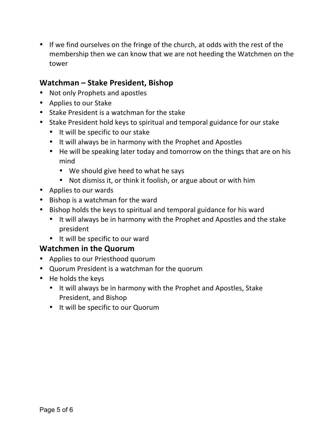• If we find ourselves on the fringe of the church, at odds with the rest of the membership then we can know that we are not heeding the Watchmen on the tower

### **Watchman – Stake President, Bishop**

- Not only Prophets and apostles
- Applies to our Stake
- Stake President is a watchman for the stake
- Stake President hold keys to spiritual and temporal guidance for our stake
	- It will be specific to our stake
	- It will always be in harmony with the Prophet and Apostles
	- He will be speaking later today and tomorrow on the things that are on his mind
		- We should give heed to what he says
		- Not dismiss it, or think it foolish, or argue about or with him
- Applies to our wards
- Bishop is a watchman for the ward
- Bishop holds the keys to spiritual and temporal guidance for his ward
	- It will always be in harmony with the Prophet and Apostles and the stake president
	- It will be specific to our ward

## **Watchmen in the Quorum**

- Applies to our Priesthood quorum
- Quorum President is a watchman for the quorum
- He holds the keys
	- It will always be in harmony with the Prophet and Apostles, Stake President, and Bishop
	- It will be specific to our Quorum